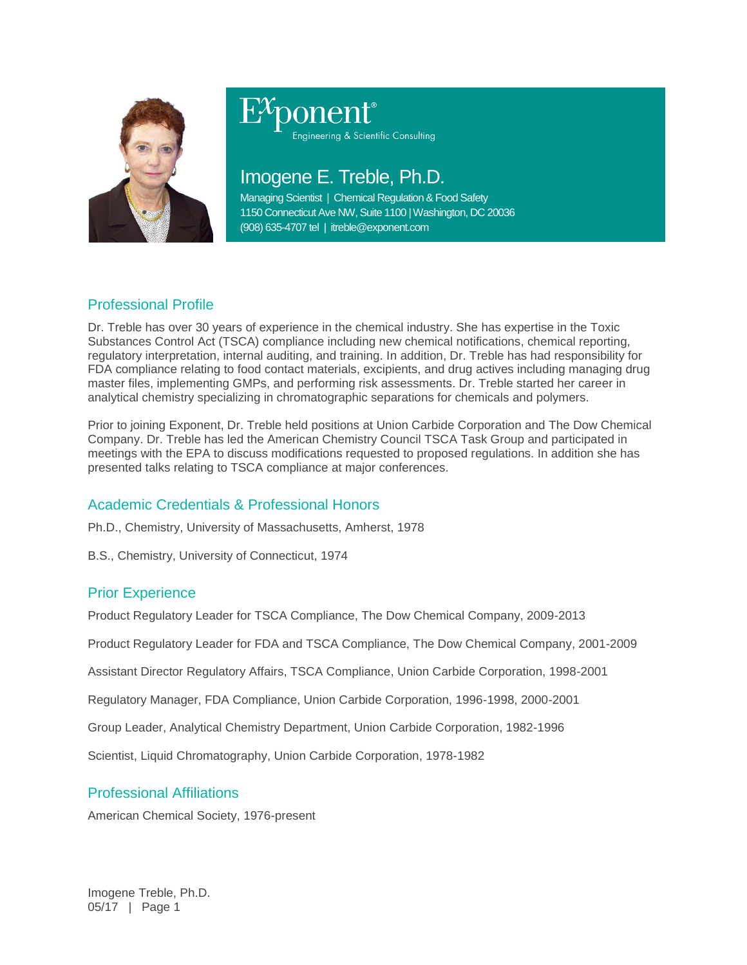

# Engineering & Scientific Consulting

## Imogene E. Treble, Ph.D.

Managing Scientist | Chemical Regulation & Food Safety 1150 Connecticut Ave NW, Suite 1100 | Washington, DC 20036 (908) 635-4707 tel | itreble@exponent.com

### Professional Profile

Dr. Treble has over 30 years of experience in the chemical industry. She has expertise in the Toxic Substances Control Act (TSCA) compliance including new chemical notifications, chemical reporting, regulatory interpretation, internal auditing, and training. In addition, Dr. Treble has had responsibility for FDA compliance relating to food contact materials, excipients, and drug actives including managing drug master files, implementing GMPs, and performing risk assessments. Dr. Treble started her career in analytical chemistry specializing in chromatographic separations for chemicals and polymers.

Prior to joining Exponent, Dr. Treble held positions at Union Carbide Corporation and The Dow Chemical Company. Dr. Treble has led the American Chemistry Council TSCA Task Group and participated in meetings with the EPA to discuss modifications requested to proposed regulations. In addition she has presented talks relating to TSCA compliance at major conferences.

#### Academic Credentials & Professional Honors

Ph.D., Chemistry, University of Massachusetts, Amherst, 1978

B.S., Chemistry, University of Connecticut, 1974

#### Prior Experience

Product Regulatory Leader for TSCA Compliance, The Dow Chemical Company, 2009-2013

Product Regulatory Leader for FDA and TSCA Compliance, The Dow Chemical Company, 2001-2009

Assistant Director Regulatory Affairs, TSCA Compliance, Union Carbide Corporation, 1998-2001

Regulatory Manager, FDA Compliance, Union Carbide Corporation, 1996-1998, 2000-2001

Group Leader, Analytical Chemistry Department, Union Carbide Corporation, 1982-1996

Scientist, Liquid Chromatography, Union Carbide Corporation, 1978-1982

#### Professional Affiliations

American Chemical Society, 1976-present

Imogene Treble, Ph.D. 05/17 | Page 1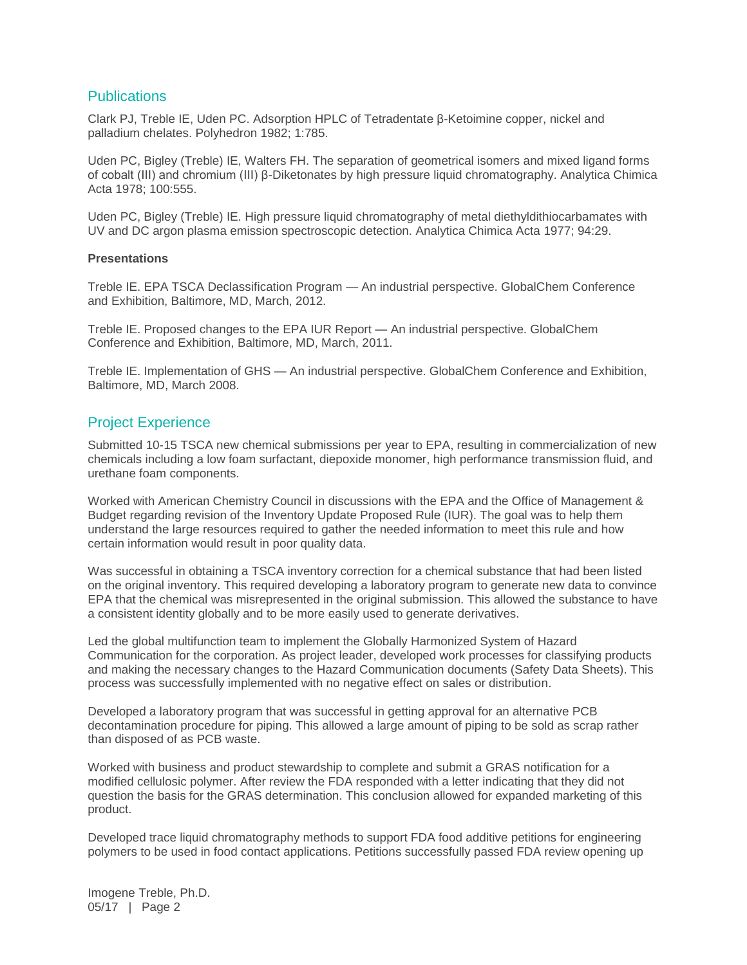#### **Publications**

Clark PJ, Treble IE, Uden PC. Adsorption HPLC of Tetradentate β-Ketoimine copper, nickel and palladium chelates. Polyhedron 1982; 1:785.

Uden PC, Bigley (Treble) IE, Walters FH. The separation of geometrical isomers and mixed ligand forms of cobalt (III) and chromium (III) β-Diketonates by high pressure liquid chromatography. Analytica Chimica Acta 1978; 100:555.

Uden PC, Bigley (Treble) IE. High pressure liquid chromatography of metal diethyldithiocarbamates with UV and DC argon plasma emission spectroscopic detection. Analytica Chimica Acta 1977; 94:29.

#### **Presentations**

Treble IE. EPA TSCA Declassification Program — An industrial perspective. GlobalChem Conference and Exhibition, Baltimore, MD, March, 2012.

Treble IE. Proposed changes to the EPA IUR Report — An industrial perspective. GlobalChem Conference and Exhibition, Baltimore, MD, March, 2011.

Treble IE. Implementation of GHS — An industrial perspective. GlobalChem Conference and Exhibition, Baltimore, MD, March 2008.

#### Project Experience

Submitted 10-15 TSCA new chemical submissions per year to EPA, resulting in commercialization of new chemicals including a low foam surfactant, diepoxide monomer, high performance transmission fluid, and urethane foam components.

Worked with American Chemistry Council in discussions with the EPA and the Office of Management & Budget regarding revision of the Inventory Update Proposed Rule (IUR). The goal was to help them understand the large resources required to gather the needed information to meet this rule and how certain information would result in poor quality data.

Was successful in obtaining a TSCA inventory correction for a chemical substance that had been listed on the original inventory. This required developing a laboratory program to generate new data to convince EPA that the chemical was misrepresented in the original submission. This allowed the substance to have a consistent identity globally and to be more easily used to generate derivatives.

Led the global multifunction team to implement the Globally Harmonized System of Hazard Communication for the corporation. As project leader, developed work processes for classifying products and making the necessary changes to the Hazard Communication documents (Safety Data Sheets). This process was successfully implemented with no negative effect on sales or distribution.

Developed a laboratory program that was successful in getting approval for an alternative PCB decontamination procedure for piping. This allowed a large amount of piping to be sold as scrap rather than disposed of as PCB waste.

Worked with business and product stewardship to complete and submit a GRAS notification for a modified cellulosic polymer. After review the FDA responded with a letter indicating that they did not question the basis for the GRAS determination. This conclusion allowed for expanded marketing of this product.

Developed trace liquid chromatography methods to support FDA food additive petitions for engineering polymers to be used in food contact applications. Petitions successfully passed FDA review opening up

Imogene Treble, Ph.D. 05/17 | Page 2